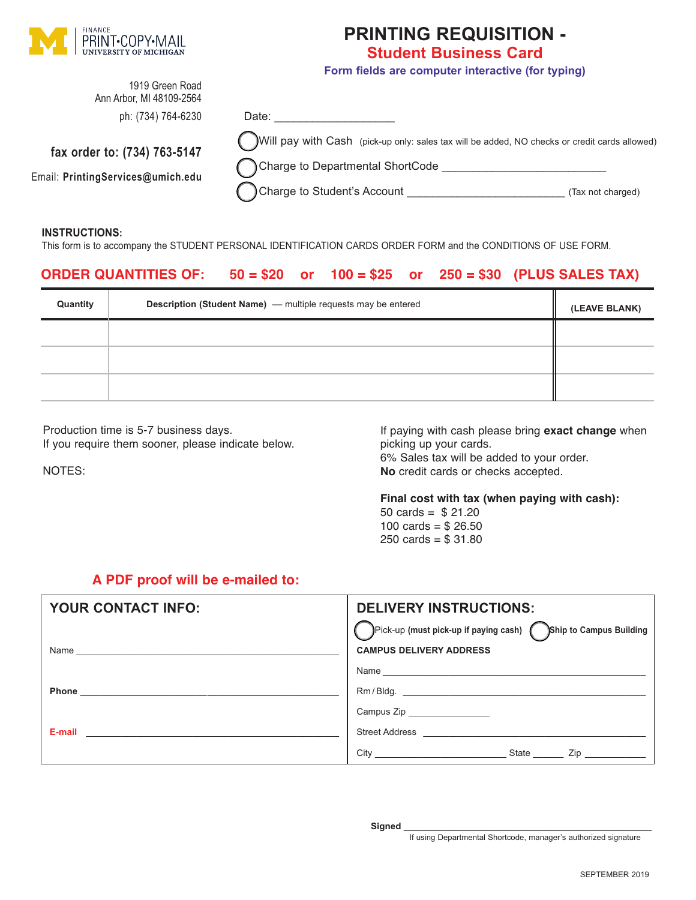

## **PRINTING REQUISITION - Student Business Card**

**Form fields are computer interactive (for typing)**

| 1919 Green Road<br>Ann Arbor, MI 48109-2564                       |                                                                                                                                                                  |                   |
|-------------------------------------------------------------------|------------------------------------------------------------------------------------------------------------------------------------------------------------------|-------------------|
| ph: (734) 764-6230                                                | Date:                                                                                                                                                            |                   |
| fax order to: (734) 763-5147<br>Email: PrintingServices@umich.edu | Will pay with Cash (pick-up only: sales tax will be added, NO checks or credit cards allowed)<br>Charge to Departmental ShortCode<br>Charge to Student's Account | (Tax not charged) |

#### **INSTRUCTIONS:**

This form is to accompany the STUDENT PERSONAL IDENTIFICATION CARDS ORDER FORM and the CONDITIONS OF USE FORM.

### **ORDER QUANTITIES OF: 50 = \$20 or 100 = \$25 or 250 = \$30 (PLUS SALES TAX)**

| Quantity | <b>Description (Student Name)</b> - multiple requests may be entered | (LEAVE BLANK) |
|----------|----------------------------------------------------------------------|---------------|
|          |                                                                      |               |
|          |                                                                      |               |
|          |                                                                      |               |

Production time is 5-7 business days. If you require them sooner, please indicate below.

NOTES:

If paying with cash please bring **exact change** when picking up your cards. 6% Sales tax will be added to your order.

**No** credit cards or checks accepted.

#### **Final cost with tax (when paying with cash):**

50 cards = \$ 21.20 100 cards =  $$26.50$ 250 cards =  $$31.80$ 

### **A PDF proof will be e-mailed to:**

| YOUR CONTACT INFO:                                                                                             | <b>DELIVERY INSTRUCTIONS:</b>                                                                                                  |
|----------------------------------------------------------------------------------------------------------------|--------------------------------------------------------------------------------------------------------------------------------|
|                                                                                                                | Pick-up (must pick-up if paying cash) Ship to Campus Building                                                                  |
| Name                                                                                                           | <b>CAMPUS DELIVERY ADDRESS</b>                                                                                                 |
|                                                                                                                | Name                                                                                                                           |
|                                                                                                                |                                                                                                                                |
|                                                                                                                | Campus Zip                                                                                                                     |
| E-mail and the contract of the contract of the contract of the contract of the contract of the contract of the | Street Address <b>Contract Address</b>                                                                                         |
|                                                                                                                | State<br>City<br>Zip in the set of the set of the set of the set of the set of the set of the set of the set of the set of the |

If using Departmental Shortcode, manager's authorized signature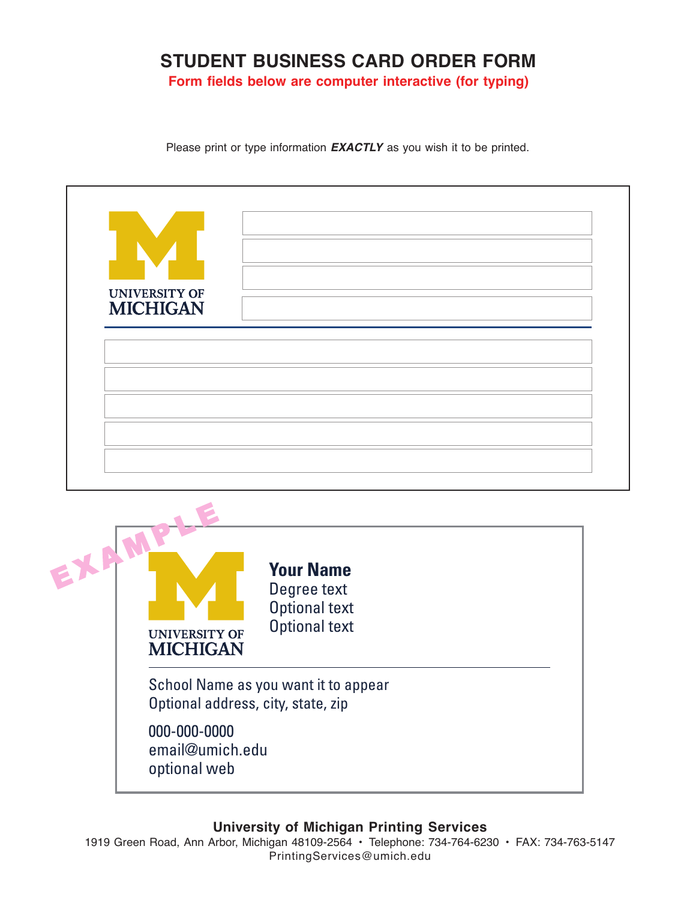## **STUDENT BUSINESS CARD ORDER FORM**

**Form fields below are computer interactive (for typing)**

Please print or type information *EXACTLY* as you wish it to be printed.

| <b>UNIVERSITY OF</b><br><b>MICHIGAN</b> |                                                                                 |  |
|-----------------------------------------|---------------------------------------------------------------------------------|--|
|                                         |                                                                                 |  |
| EXAM<br><b>UNIVERSITY OF</b>            | <b>Your Name</b><br>Degree text<br><b>Optional text</b><br><b>Optional text</b> |  |
| <b>MICHIGAN</b><br>000-000-0000         | School Name as you want it to appear<br>Optional address, city, state, zip      |  |

optional web

### **University of Michigan Printing Services**

1919 Green Road, Ann Arbor, Michigan 48109-2564 • Telephone: 734-764-6230 • FAX: 734-763-5147 PrintingServices@umich.edu